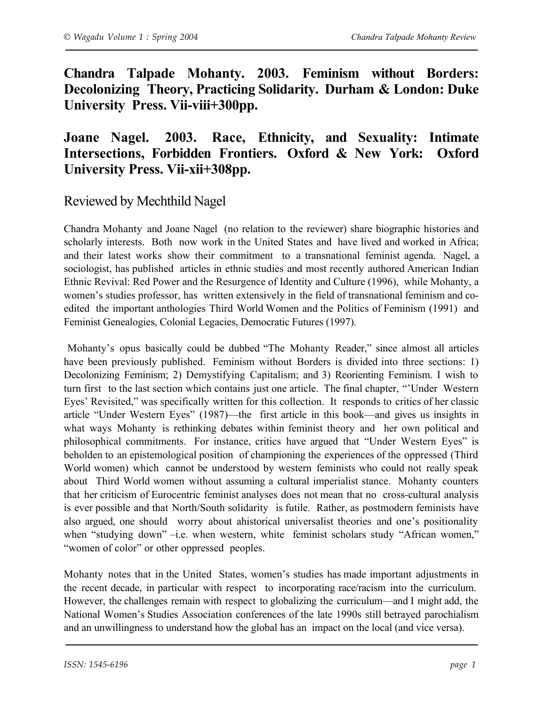**Chandra Talpade Mohanty. 2003. Feminism without Borders: Decolonizing Theory, Practicing Solidarity. Durham & London: Duke University Press. Vii-viii+300pp.**

## **Joane Nagel. 2003. Race, Ethnicity, and Sexuality: Intimate Intersections, Forbidden Frontiers. Oxford & New York: Oxford University Press. Vii-xii+308pp.**

## Reviewed by Mechthild Nagel

Chandra Mohanty and Joane Nagel (no relation to the reviewer) share biographic histories and scholarly interests. Both now work in the United States and have lived and worked in Africa; and their latest works show their commitment to a transnational feminist agenda. Nagel, a sociologist, has published articles in ethnic studies and most recently authored American Indian Ethnic Revival: Red Power and the Resurgence of Identity and Culture (1996), while Mohanty, a women's studies professor, has written extensively in the field of transnational feminism and coedited the important anthologies Third World Women and the Politics of Feminism (1991) and Feminist Genealogies, Colonial Legacies, Democratic Futures (1997).

Mohanty's opus basically could be dubbed "The Mohanty Reader," since almost all articles have been previously published. Feminism without Borders is divided into three sections: 1) Decolonizing Feminism; 2) Demystifying Capitalism; and 3) Reorienting Feminism. I wish to turn first to the last section which contains just one article. The final chapter, "'Under Western Eyes' Revisited," was specifically written for this collection. It responds to critics of her classic article "Under Western Eyes" (1987)—the first article in this book—and gives us insights in what ways Mohanty is rethinking debates within feminist theory and her own political and philosophical commitments. For instance, critics have argued that "Under Western Eyes" is beholden to an epistemological position of championing the experiences of the oppressed (Third World women) which cannot be understood by western feminists who could not really speak about Third World women without assuming a cultural imperialist stance. Mohanty counters that her criticism of Eurocentric feminist analyses does not mean that no cross-cultural analysis is ever possible and that North/South solidarity is futile. Rather, as postmodern feminists have also argued, one should worry about ahistorical universalist theories and one's positionality when "studying down" –i.e. when western, white feminist scholars study "African women," "women of color" or other oppressed peoples.

Mohanty notes that in the United States, women's studies has made important adjustments in the recent decade, in particular with respect to incorporating race/racism into the curriculum. However, the challenges remain with respect to globalizing the curriculum—and I might add, the National Women's Studies Association conferences of the late 1990s still betrayed parochialism and an unwillingness to understand how the global has an impact on the local (and vice versa).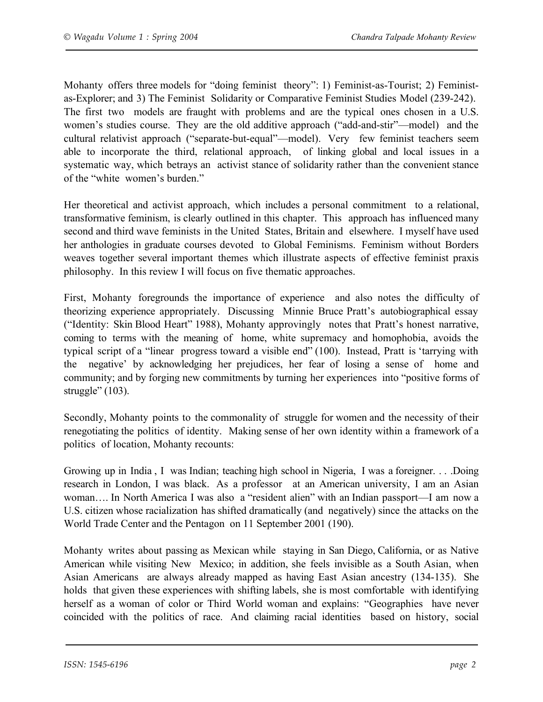Mohanty offers three models for "doing feminist theory": 1) Feminist-as-Tourist; 2) Feministas-Explorer; and 3) The Feminist Solidarity or Comparative Feminist Studies Model (239-242). The first two models are fraught with problems and are the typical ones chosen in a U.S. women's studies course. They are the old additive approach ("add-and-stir"—model) and the cultural relativist approach ("separate-but-equal"—model). Very few feminist teachers seem able to incorporate the third, relational approach, of linking global and local issues in a systematic way, which betrays an activist stance of solidarity rather than the convenient stance of the "white women's burden."

Her theoretical and activist approach, which includes a personal commitment to a relational, transformative feminism, is clearly outlined in this chapter. This approach has influenced many second and third wave feminists in the United States, Britain and elsewhere. I myself have used her anthologies in graduate courses devoted to Global Feminisms. Feminism without Borders weaves together several important themes which illustrate aspects of effective feminist praxis philosophy. In this review I will focus on five thematic approaches.

First, Mohanty foregrounds the importance of experience and also notes the difficulty of theorizing experience appropriately. Discussing Minnie Bruce Pratt's autobiographical essay ("Identity: Skin Blood Heart" 1988), Mohanty approvingly notes that Pratt's honest narrative, coming to terms with the meaning of home, white supremacy and homophobia, avoids the typical script of a "linear progress toward a visible end" (100). Instead, Pratt is 'tarrying with the negative' by acknowledging her prejudices, her fear of losing a sense of home and community; and by forging new commitments by turning her experiences into "positive forms of struggle" (103).

Secondly, Mohanty points to the commonality of struggle for women and the necessity of their renegotiating the politics of identity. Making sense of her own identity within a framework of a politics of location, Mohanty recounts:

Growing up in India , I was Indian; teaching high school in Nigeria, I was a foreigner. . . .Doing research in London, I was black. As a professor at an American university, I am an Asian woman…. In North America I was also a "resident alien" with an Indian passport—I am now a U.S. citizen whose racialization has shifted dramatically (and negatively) since the attacks on the World Trade Center and the Pentagon on 11 September 2001 (190).

Mohanty writes about passing as Mexican while staying in San Diego, California, or as Native American while visiting New Mexico; in addition, she feels invisible as a South Asian, when Asian Americans are always already mapped as having East Asian ancestry (134-135). She holds that given these experiences with shifting labels, she is most comfortable with identifying herself as a woman of color or Third World woman and explains: "Geographies have never coincided with the politics of race. And claiming racial identities based on history, social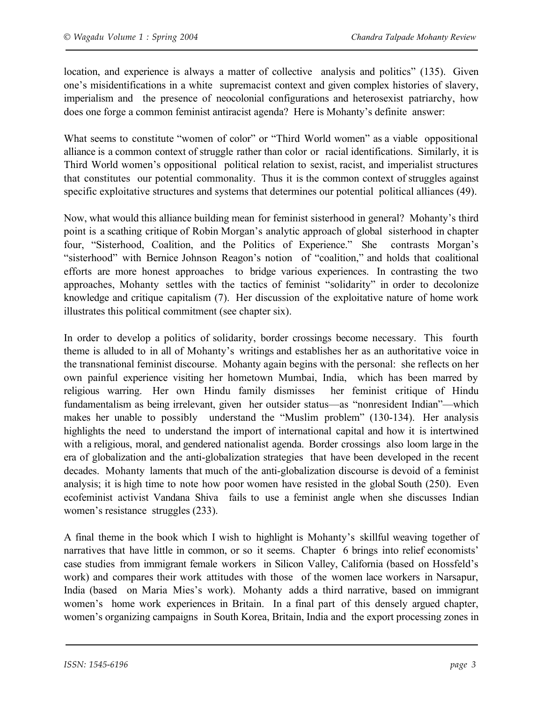location, and experience is always a matter of collective analysis and politics" (135). Given one's misidentifications in a white supremacist context and given complex histories of slavery, imperialism and the presence of neocolonial configurations and heterosexist patriarchy, how does one forge a common feminist antiracist agenda? Here is Mohanty's definite answer:

What seems to constitute "women of color" or "Third World women" as a viable oppositional alliance is a common context of struggle rather than color or racial identifications. Similarly, it is Third World women's oppositional political relation to sexist, racist, and imperialist structures that constitutes our potential commonality. Thus it is the common context of struggles against specific exploitative structures and systems that determines our potential political alliances (49).

Now, what would this alliance building mean for feminist sisterhood in general? Mohanty's third point is a scathing critique of Robin Morgan's analytic approach of global sisterhood in chapter four, "Sisterhood, Coalition, and the Politics of Experience." She contrasts Morgan's "sisterhood" with Bernice Johnson Reagon's notion of "coalition," and holds that coalitional efforts are more honest approaches to bridge various experiences. In contrasting the two approaches, Mohanty settles with the tactics of feminist "solidarity" in order to decolonize knowledge and critique capitalism (7). Her discussion of the exploitative nature of home work illustrates this political commitment (see chapter six).

In order to develop a politics of solidarity, border crossings become necessary. This fourth theme is alluded to in all of Mohanty's writings and establishes her as an authoritative voice in the transnational feminist discourse. Mohanty again begins with the personal: she reflects on her own painful experience visiting her hometown Mumbai, India, which has been marred by religious warring. Her own Hindu family dismisses her feminist critique of Hindu fundamentalism as being irrelevant, given her outsider status—as "nonresident Indian"—which makes her unable to possibly understand the "Muslim problem" (130-134). Her analysis highlights the need to understand the import of international capital and how it is intertwined with a religious, moral, and gendered nationalist agenda. Border crossings also loom large in the era of globalization and the anti-globalization strategies that have been developed in the recent decades. Mohanty laments that much of the anti-globalization discourse is devoid of a feminist analysis; it is high time to note how poor women have resisted in the global South (250). Even ecofeminist activist Vandana Shiva fails to use a feminist angle when she discusses Indian women's resistance struggles (233).

A final theme in the book which I wish to highlight is Mohanty's skillful weaving together of narratives that have little in common, or so it seems. Chapter 6 brings into relief economists' case studies from immigrant female workers in Silicon Valley, California (based on Hossfeld's work) and compares their work attitudes with those of the women lace workers in Narsapur, India (based on Maria Mies's work). Mohanty adds a third narrative, based on immigrant women's home work experiences in Britain. In a final part of this densely argued chapter, women's organizing campaigns in South Korea, Britain, India and the export processing zones in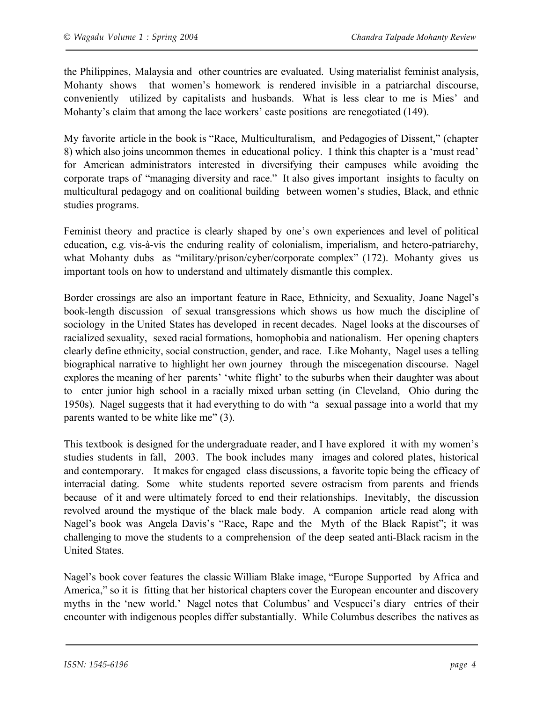the Philippines, Malaysia and other countries are evaluated. Using materialist feminist analysis, Mohanty shows that women's homework is rendered invisible in a patriarchal discourse, conveniently utilized by capitalists and husbands. What is less clear to me is Mies' and Mohanty's claim that among the lace workers' caste positions are renegotiated (149).

My favorite article in the book is "Race, Multiculturalism, and Pedagogies of Dissent," (chapter 8) which also joins uncommon themes in educational policy. I think this chapter is a 'must read' for American administrators interested in diversifying their campuses while avoiding the corporate traps of "managing diversity and race." It also gives important insights to faculty on multicultural pedagogy and on coalitional building between women's studies, Black, and ethnic studies programs.

Feminist theory and practice is clearly shaped by one's own experiences and level of political education, e.g. vis-à-vis the enduring reality of colonialism, imperialism, and hetero-patriarchy, what Mohanty dubs as "military/prison/cyber/corporate complex" (172). Mohanty gives us important tools on how to understand and ultimately dismantle this complex.

Border crossings are also an important feature in Race, Ethnicity, and Sexuality, Joane Nagel's book-length discussion of sexual transgressions which shows us how much the discipline of sociology in the United States has developed in recent decades. Nagel looks at the discourses of racialized sexuality, sexed racial formations, homophobia and nationalism. Her opening chapters clearly define ethnicity, social construction, gender, and race. Like Mohanty, Nagel uses a telling biographical narrative to highlight her own journey through the miscegenation discourse. Nagel explores the meaning of her parents' 'white flight' to the suburbs when their daughter was about to enter junior high school in a racially mixed urban setting (in Cleveland, Ohio during the 1950s). Nagel suggests that it had everything to do with "a sexual passage into a world that my parents wanted to be white like me" (3).

This textbook is designed for the undergraduate reader, and I have explored it with my women's studies students in fall, 2003. The book includes many images and colored plates, historical and contemporary. It makes for engaged class discussions, a favorite topic being the efficacy of interracial dating. Some white students reported severe ostracism from parents and friends because of it and were ultimately forced to end their relationships. Inevitably, the discussion revolved around the mystique of the black male body. A companion article read along with Nagel's book was Angela Davis's "Race, Rape and the Myth of the Black Rapist"; it was challenging to move the students to a comprehension of the deep seated anti-Black racism in the United States.

Nagel's book cover features the classic William Blake image, "Europe Supported by Africa and America," so it is fitting that her historical chapters cover the European encounter and discovery myths in the 'new world.' Nagel notes that Columbus' and Vespucci's diary entries of their encounter with indigenous peoples differ substantially. While Columbus describes the natives as